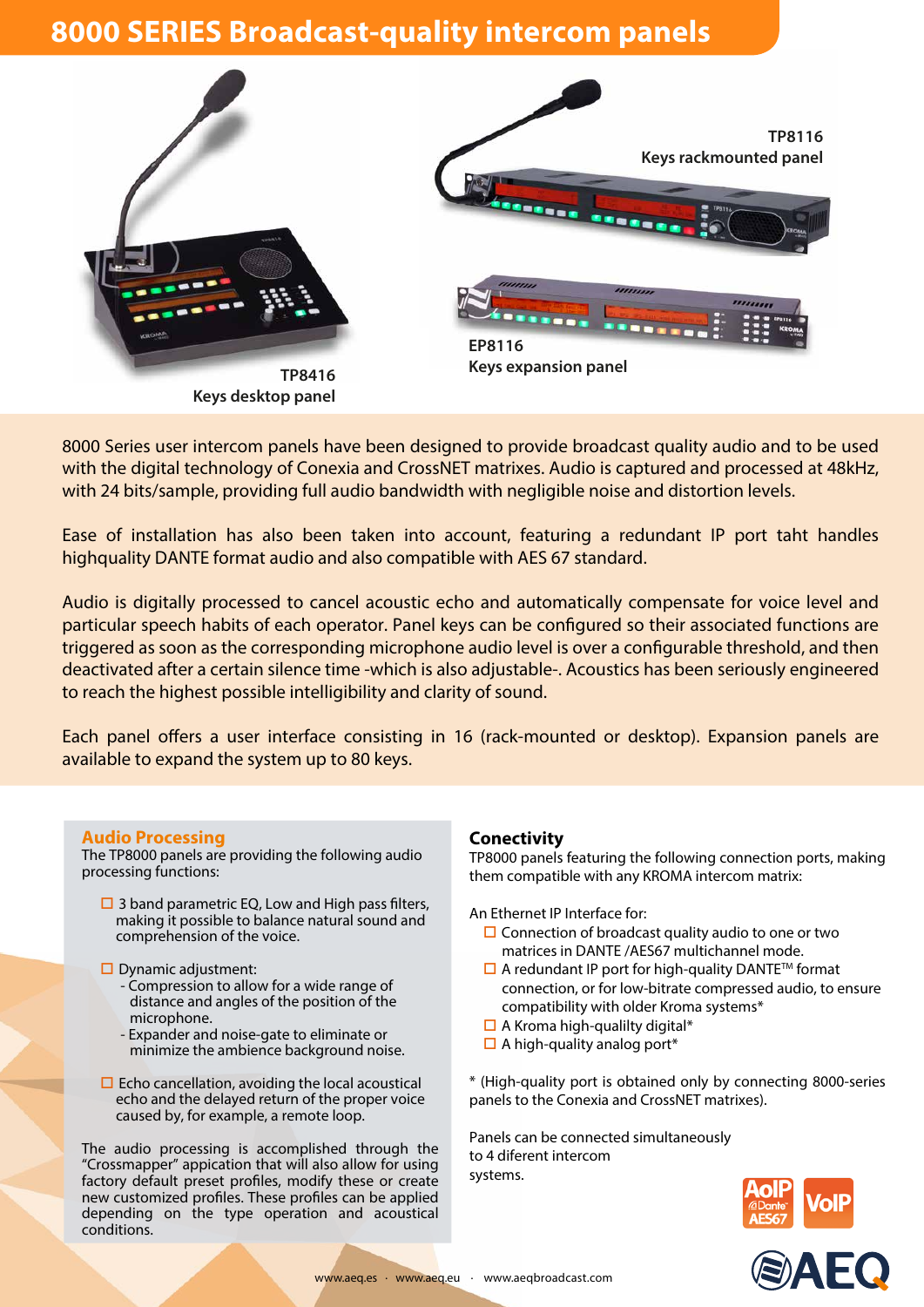## **8000 SERIES Broadcast-quality intercom panels**



8000 Series user intercom panels have been designed to provide broadcast quality audio and to be used with the digital technology of Conexia and CrossNET matrixes. Audio is captured and processed at 48kHz, with 24 bits/sample, providing full audio bandwidth with negligible noise and distortion levels.

Ease of installation has also been taken into account, featuring a redundant IP port taht handles highquality DANTE format audio and also compatible with AES 67 standard.

Audio is digitally processed to cancel acoustic echo and automatically compensate for voice level and particular speech habits of each operator. Panel keys can be configured so their associated functions are triggered as soon as the corresponding microphone audio level is over a configurable threshold, and then deactivated after a certain silence time -which is also adjustable-. Acoustics has been seriously engineered to reach the highest possible intelligibility and clarity of sound.

Each panel offers a user interface consisting in 16 (rack-mounted or desktop). Expansion panels are available to expand the system up to 80 keys.

## **Audio Processing**

The TP8000 panels are providing the following audio processing functions:

- $\square$  3 band parametric EQ, Low and High pass filters, making it possible to balance natural sound and comprehension of the voice.
- $\square$  Dynamic adjustment:
	- Compression to allow for a wide range of distance and angles of the position of the microphone.
	- Expander and noise-gate to eliminate or minimize the ambience background noise.
- $\square$  Echo cancellation, avoiding the local acoustical echo and the delayed return of the proper voice caused by, for example, a remote loop.

The audio processing is accomplished through the "Crossmapper" appication that will also allow for using factory default preset profiles, modify these or create new customized profiles. These profiles can be applied depending on the type operation and acoustical conditions.

## **Conectivity**

TP8000 panels featuring the following connection ports, making them compatible with any KROMA intercom matrix:

An Ethernet IP Interface for:

- $\square$  Connection of broadcast quality audio to one or two matrices in DANTE /AES67 multichannel mode.
- $\square$  A redundant IP port for high-quality DANTE<sup>TM</sup> format connection, or for low-bitrate compressed audio, to ensure compatibility with older Kroma systems\*
- $\Box$  A Kroma high-qualilty digital\*
- $\Box$  A high-quality analog port\*

\* (High-quality port is obtained only by connecting 8000-series panels to the Conexia and CrossNET matrixes).

Panels can be connected simultaneously to 4 diferent intercom systems.